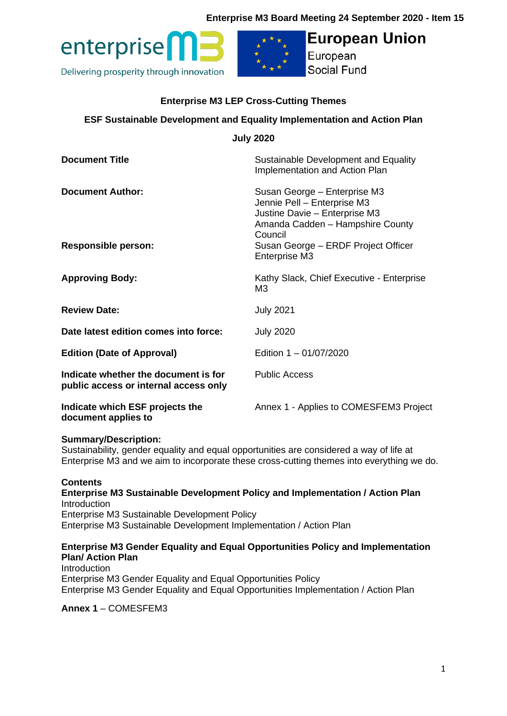## **Enterprise M3 Board Meeting 24 September 2020 - Item 15**





# **European Union**

European Social Fund

## **Enterprise M3 LEP Cross-Cutting Themes**

## **ESF Sustainable Development and Equality Implementation and Action Plan**

| <b>July 2020</b>                                                              |                                                                                                                                                                                                     |
|-------------------------------------------------------------------------------|-----------------------------------------------------------------------------------------------------------------------------------------------------------------------------------------------------|
| <b>Document Title</b>                                                         | Sustainable Development and Equality<br>Implementation and Action Plan                                                                                                                              |
| <b>Document Author:</b><br><b>Responsible person:</b>                         | Susan George - Enterprise M3<br>Jennie Pell - Enterprise M3<br>Justine Davie - Enterprise M3<br>Amanda Cadden - Hampshire County<br>Council<br>Susan George - ERDF Project Officer<br>Enterprise M3 |
| <b>Approving Body:</b>                                                        | Kathy Slack, Chief Executive - Enterprise<br>M3                                                                                                                                                     |
| <b>Review Date:</b>                                                           | <b>July 2021</b>                                                                                                                                                                                    |
| Date latest edition comes into force:                                         | <b>July 2020</b>                                                                                                                                                                                    |
| <b>Edition (Date of Approval)</b>                                             | Edition 1 - 01/07/2020                                                                                                                                                                              |
| Indicate whether the document is for<br>public access or internal access only | <b>Public Access</b>                                                                                                                                                                                |
| Indicate which ESF projects the<br>document applies to                        | Annex 1 - Applies to COMESFEM3 Project                                                                                                                                                              |

#### **Summary/Description:**

Sustainability, gender equality and equal opportunities are considered a way of life at Enterprise M3 and we aim to incorporate these cross-cutting themes into everything we do.

#### **Contents**

**Enterprise M3 Sustainable Development Policy and Implementation / Action Plan Introduction** Enterprise M3 Sustainable Development Policy Enterprise M3 Sustainable Development Implementation / Action Plan

#### **Enterprise M3 Gender Equality and Equal Opportunities Policy and Implementation Plan/ Action Plan**

Introduction Enterprise M3 Gender Equality and Equal Opportunities Policy Enterprise M3 Gender Equality and Equal Opportunities Implementation / Action Plan

**Annex 1** – COMESFEM3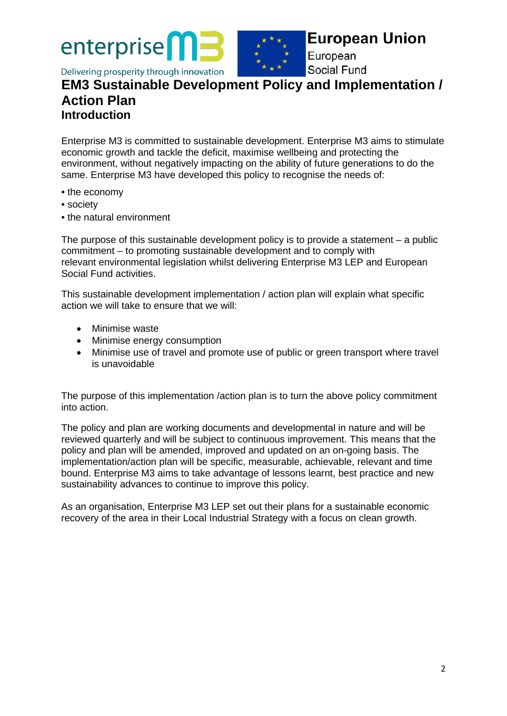enterprise

**European Union** 

European **Social Fund** 

## Delivering prosperity through innovation **EM3 Sustainable Development Policy and Implementation / Action Plan**

**Introduction** 

Enterprise M3 is committed to sustainable development. Enterprise M3 aims to stimulate economic growth and tackle the deficit, maximise wellbeing and protecting the environment, without negatively impacting on the ability of future generations to do the same. Enterprise M3 have developed this policy to recognise the needs of:

- the economy
- society
- the natural environment

The purpose of this sustainable development policy is to provide a statement – a public commitment – to promoting sustainable development and to comply with relevant environmental legislation whilst delivering Enterprise M3 LEP and European Social Fund activities.

This sustainable development implementation / action plan will explain what specific action we will take to ensure that we will:

- Minimise waste
- Minimise energy consumption
- Minimise use of travel and promote use of public or green transport where travel is unavoidable

The purpose of this implementation /action plan is to turn the above policy commitment into action.

The policy and plan are working documents and developmental in nature and will be reviewed quarterly and will be subject to continuous improvement. This means that the policy and plan will be amended, improved and updated on an on-going basis. The implementation/action plan will be specific, measurable, achievable, relevant and time bound. Enterprise M3 aims to take advantage of lessons learnt, best practice and new sustainability advances to continue to improve this policy.

As an organisation, Enterprise M3 LEP set out their plans for a sustainable economic recovery of the area in their Local Industrial Strategy with a focus on clean growth.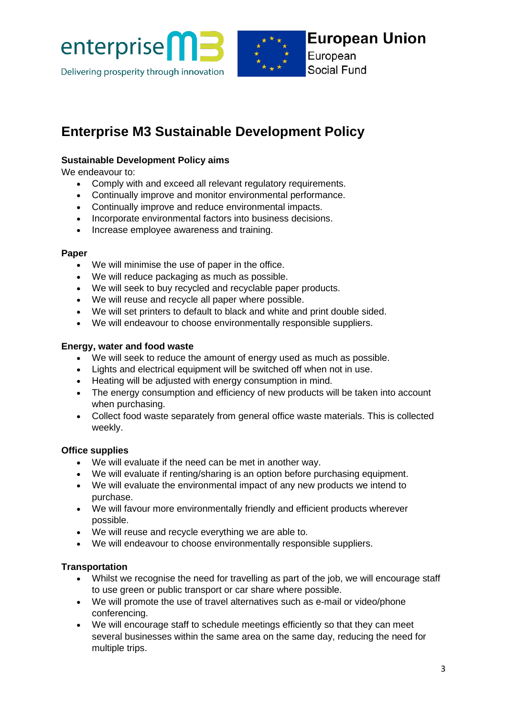



European Social Fund

# **Enterprise M3 Sustainable Development Policy**

## **Sustainable Development Policy aims**

We endeavour to:

- Comply with and exceed all relevant requistory requirements.
- Continually improve and monitor environmental performance.
- Continually improve and reduce environmental impacts.
- Incorporate environmental factors into business decisions.
- Increase employee awareness and training.

## **Paper**

- We will minimise the use of paper in the office.
- We will reduce packaging as much as possible.
- We will seek to buy recycled and recyclable paper products.
- We will reuse and recycle all paper where possible.
- We will set printers to default to black and white and print double sided.
- We will endeavour to choose environmentally responsible suppliers.

## **Energy, water and food waste**

- We will seek to reduce the amount of energy used as much as possible.
- Lights and electrical equipment will be switched off when not in use.
- Heating will be adjusted with energy consumption in mind.
- The energy consumption and efficiency of new products will be taken into account when purchasing.
- Collect food waste separately from general office waste materials. This is collected weekly.

## **Office supplies**

- We will evaluate if the need can be met in another way.
- We will evaluate if renting/sharing is an option before purchasing equipment.
- We will evaluate the environmental impact of any new products we intend to purchase.
- We will favour more environmentally friendly and efficient products wherever possible.
- We will reuse and recycle everything we are able to.
- We will endeavour to choose environmentally responsible suppliers.

## **Transportation**

- Whilst we recognise the need for travelling as part of the job, we will encourage staff to use green or public transport or car share where possible.
- We will promote the use of travel alternatives such as e-mail or video/phone conferencing.
- We will encourage staff to schedule meetings efficiently so that they can meet several businesses within the same area on the same day, reducing the need for multiple trips.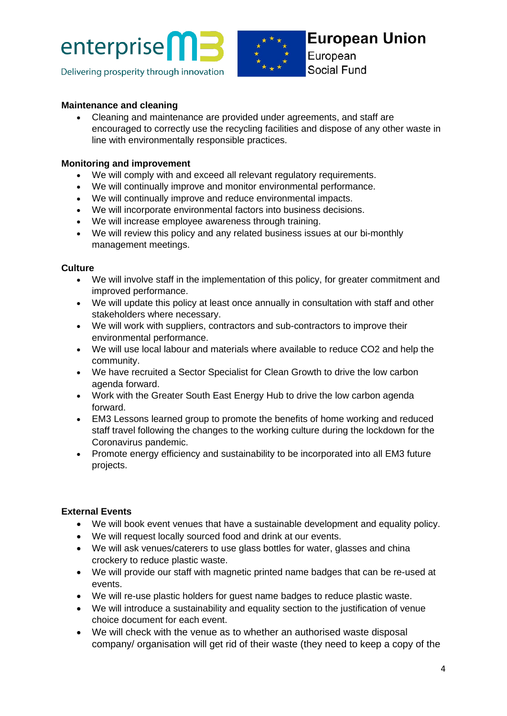



European Social Fund

## **Maintenance and cleaning**

• Cleaning and maintenance are provided under agreements, and staff are encouraged to correctly use the recycling facilities and dispose of any other waste in line with environmentally responsible practices.

### **Monitoring and improvement**

- We will comply with and exceed all relevant regulatory requirements.
- We will continually improve and monitor environmental performance.
- We will continually improve and reduce environmental impacts.
- We will incorporate environmental factors into business decisions.
- We will increase employee awareness through training.
- We will review this policy and any related business issues at our bi-monthly management meetings.

## **Culture**

- We will involve staff in the implementation of this policy, for greater commitment and improved performance.
- We will update this policy at least once annually in consultation with staff and other stakeholders where necessary.
- We will work with suppliers, contractors and sub-contractors to improve their environmental performance.
- We will use local labour and materials where available to reduce CO2 and help the community.
- We have recruited a Sector Specialist for Clean Growth to drive the low carbon agenda forward.
- Work with the Greater South East Energy Hub to drive the low carbon agenda forward.
- EM3 Lessons learned group to promote the benefits of home working and reduced staff travel following the changes to the working culture during the lockdown for the Coronavirus pandemic.
- Promote energy efficiency and sustainability to be incorporated into all EM3 future projects.

## **External Events**

- We will book event venues that have a sustainable development and equality policy.
- We will request locally sourced food and drink at our events.
- We will ask venues/caterers to use glass bottles for water, glasses and china crockery to reduce plastic waste.
- We will provide our staff with magnetic printed name badges that can be re-used at events.
- We will re-use plastic holders for guest name badges to reduce plastic waste.
- We will introduce a sustainability and equality section to the justification of venue choice document for each event.
- We will check with the venue as to whether an authorised waste disposal company/ organisation will get rid of their waste (they need to keep a copy of the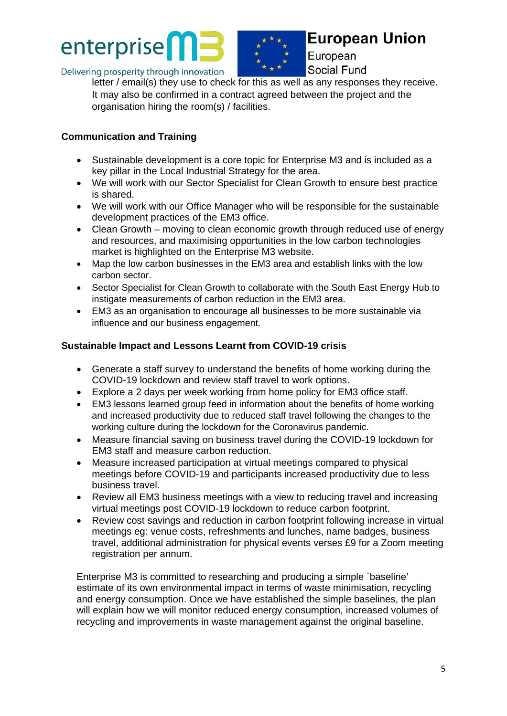



European Social Fund

Delivering prosperity through innovation

letter / email(s) they use to check for this as well as any responses they receive.

It may also be confirmed in a contract agreed between the project and the organisation hiring the room(s) / facilities.

## **Communication and Training**

- Sustainable development is a core topic for Enterprise M3 and is included as a key pillar in the Local Industrial Strategy for the area.
- We will work with our Sector Specialist for Clean Growth to ensure best practice is shared.
- We will work with our Office Manager who will be responsible for the sustainable development practices of the EM3 office.
- Clean Growth moving to clean economic growth through reduced use of energy and resources, and maximising opportunities in the low carbon technologies market is highlighted on the Enterprise M3 website.
- Map the low carbon businesses in the EM3 area and establish links with the low carbon sector.
- Sector Specialist for Clean Growth to collaborate with the South East Energy Hub to instigate measurements of carbon reduction in the EM3 area.
- EM3 as an organisation to encourage all businesses to be more sustainable via influence and our business engagement.

## **Sustainable Impact and Lessons Learnt from COVID-19 crisis**

- Generate a staff survey to understand the benefits of home working during the COVID-19 lockdown and review staff travel to work options.
- Explore a 2 days per week working from home policy for EM3 office staff.
- EM3 lessons learned group feed in information about the benefits of home working and increased productivity due to reduced staff travel following the changes to the working culture during the lockdown for the Coronavirus pandemic.
- Measure financial saving on business travel during the COVID-19 lockdown for EM3 staff and measure carbon reduction.
- Measure increased participation at virtual meetings compared to physical meetings before COVID-19 and participants increased productivity due to less business travel.
- Review all EM3 business meetings with a view to reducing travel and increasing virtual meetings post COVID-19 lockdown to reduce carbon footprint.
- Review cost savings and reduction in carbon footprint following increase in virtual meetings eg: venue costs, refreshments and lunches, name badges, business travel, additional administration for physical events verses £9 for a Zoom meeting registration per annum.

Enterprise M3 is committed to researching and producing a simple `baseline' estimate of its own environmental impact in terms of waste minimisation, recycling and energy consumption. Once we have established the simple baselines, the plan will explain how we will monitor reduced energy consumption, increased volumes of recycling and improvements in waste management against the original baseline.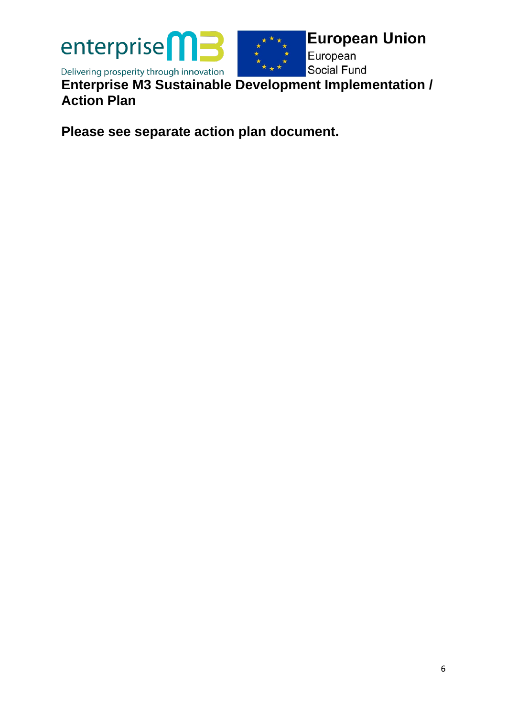

**Enterprise M3 Sustainable Development Implementation / Action Plan** 

**Please see separate action plan document.**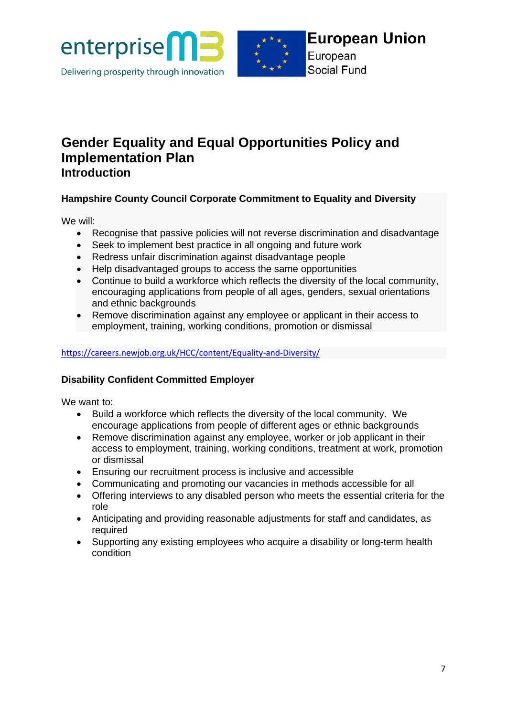



European Social Fund

## **Gender Equality and Equal Opportunities Policy and Implementation Plan Introduction**

## **Hampshire County Council Corporate Commitment to Equality and Diversity**

We will:

- Recognise that passive policies will not reverse discrimination and disadvantage
- Seek to implement best practice in all ongoing and future work
- Redress unfair discrimination against disadvantage people
- Help disadvantaged groups to access the same opportunities
- Continue to build a workforce which reflects the diversity of the local community, encouraging applications from people of all ages, genders, sexual orientations and ethnic backgrounds
- Remove discrimination against any employee or applicant in their access to employment, training, working conditions, promotion or dismissal

## <https://careers.newjob.org.uk/HCC/content/Equality-and-Diversity/>

## **Disability Confident Committed Employer**

We want to:

- Build a workforce which reflects the diversity of the local community. We encourage applications from people of different ages or ethnic backgrounds
- Remove discrimination against any employee, worker or job applicant in their access to employment, training, working conditions, treatment at work, promotion or dismissal
- Ensuring our recruitment process is inclusive and accessible
- Communicating and promoting our vacancies in methods accessible for all
- Offering interviews to any disabled person who meets the essential criteria for the role
- Anticipating and providing reasonable adjustments for staff and candidates, as required
- Supporting any existing employees who acquire a disability or long-term health condition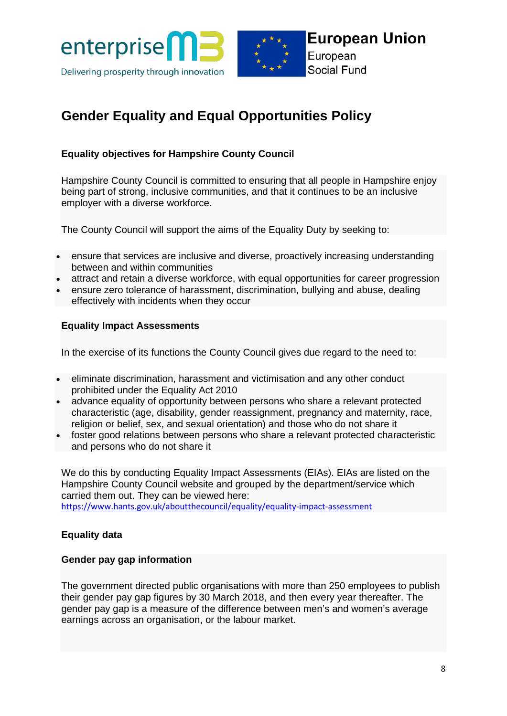



# **Gender Equality and Equal Opportunities Policy**

## **Equality objectives for Hampshire County Council**

Hampshire County Council is committed to ensuring that all people in Hampshire enjoy being part of strong, inclusive communities, and that it continues to be an inclusive employer with a diverse workforce.

The County Council will support the aims of the Equality Duty by seeking to:

- ensure that services are inclusive and diverse, proactively increasing understanding between and within communities
- attract and retain a diverse workforce, with equal opportunities for career progression
- ensure zero tolerance of harassment, discrimination, bullying and abuse, dealing effectively with incidents when they occur

## **Equality Impact Assessments**

In the exercise of its functions the County Council gives due regard to the need to:

- eliminate discrimination, harassment and victimisation and any other conduct prohibited under the Equality Act 2010
- advance equality of opportunity between persons who share a relevant protected characteristic (age, disability, gender reassignment, pregnancy and maternity, race, religion or belief, sex, and sexual orientation) and those who do not share it
- foster good relations between persons who share a relevant protected characteristic and persons who do not share it

We do this by conducting Equality Impact Assessments (EIAs). EIAs are listed on the Hampshire County Council website and grouped by the department/service which carried them out. They can be viewed here: <https://www.hants.gov.uk/aboutthecouncil/equality/equality-impact-assessment>

## **Equality data**

#### **Gender pay gap information**

The government directed public organisations with more than 250 employees to publish their gender pay gap figures by 30 March 2018, and then every year thereafter. The gender pay gap is a measure of the difference between men's and women's average earnings across an organisation, or the labour market.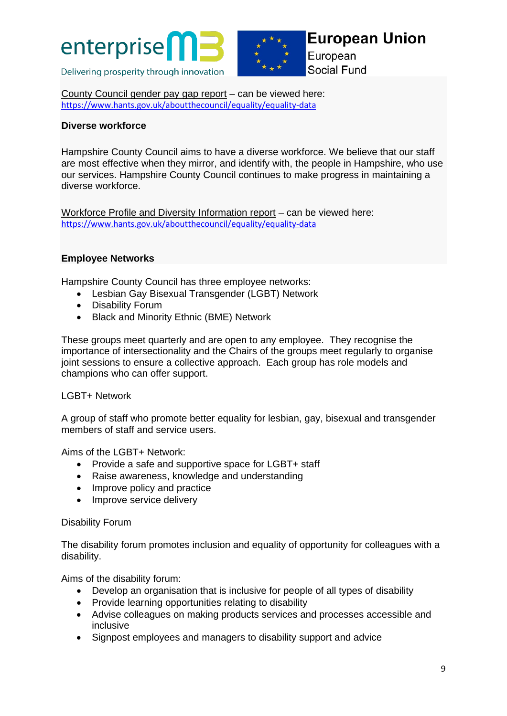



European Social Fund

County [Council](https://www.hants.gov.uk/aboutthecouncil/informationandstats/opendata/opendatasearch/genderpaygap) gender pay gap report – can be viewed here: <https://www.hants.gov.uk/aboutthecouncil/equality/equality-data>

## **Diverse workforce**

Hampshire County Council aims to have a diverse workforce. We believe that our staff are most effective when they mirror, and identify with, the people in Hampshire, who use our services. Hampshire County Council continues to make progress in maintaining a diverse workforce.

Workforce Profile and Diversity [Information](http://documents.hants.gov.uk/All-Departments-Data-EqualitiesReport-March2019.pdf) report – can be viewed here: <https://www.hants.gov.uk/aboutthecouncil/equality/equality-data>

## **Employee Networks**

Hampshire County Council has three employee networks:

- Lesbian Gay Bisexual Transgender (LGBT) Network
- Disability Forum
- Black and Minority Ethnic (BME) Network

These groups meet quarterly and are open to any employee. They recognise the importance of intersectionality and the Chairs of the groups meet regularly to organise joint sessions to ensure a collective approach. Each group has role models and champions who can offer support.

#### LGBT+ Network

A group of staff who promote better equality for lesbian, gay, bisexual and transgender members of staff and service users.

Aims of the LGBT+ Network:

- Provide a safe and supportive space for LGBT+ staff
- Raise awareness, knowledge and understanding
- Improve policy and practice
- Improve service delivery

#### Disability Forum

The disability forum promotes inclusion and equality of opportunity for colleagues with a disability.

Aims of the disability forum:

- Develop an organisation that is inclusive for people of all types of disability
- Provide learning opportunities relating to disability
- Advise colleagues on making products services and processes accessible and inclusive
- Signpost employees and managers to disability support and advice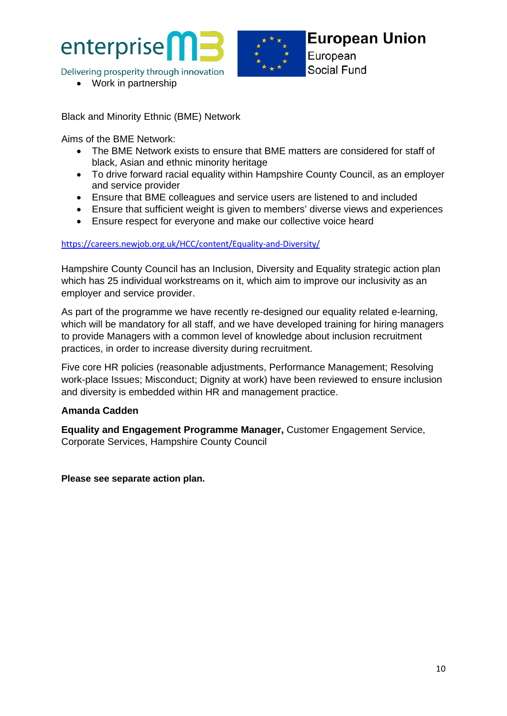



**European Union** European

• Work in partnership

Black and Minority Ethnic (BME) Network

Aims of the BME Network:

- The BME Network exists to ensure that BME matters are considered for staff of black, Asian and ethnic minority heritage
- To drive forward racial equality within Hampshire County Council, as an employer and service provider
- Ensure that BME colleagues and service users are listened to and included
- Ensure that sufficient weight is given to members' diverse views and experiences
- Ensure respect for everyone and make our collective voice heard

#### <https://careers.newjob.org.uk/HCC/content/Equality-and-Diversity/>

Hampshire County Council has an Inclusion, Diversity and Equality strategic action plan which has 25 individual workstreams on it, which aim to improve our inclusivity as an employer and service provider.

As part of the programme we have recently re-designed our equality related e-learning, which will be mandatory for all staff, and we have developed training for hiring managers to provide Managers with a common level of knowledge about inclusion recruitment practices, in order to increase diversity during recruitment.

Five core HR policies (reasonable adjustments, Performance Management; Resolving work-place Issues; Misconduct; Dignity at work) have been reviewed to ensure inclusion and diversity is embedded within HR and management practice.

## **Amanda Cadden**

**Equality and Engagement Programme Manager,** Customer Engagement Service, Corporate Services, Hampshire County Council

**Please see separate action plan.**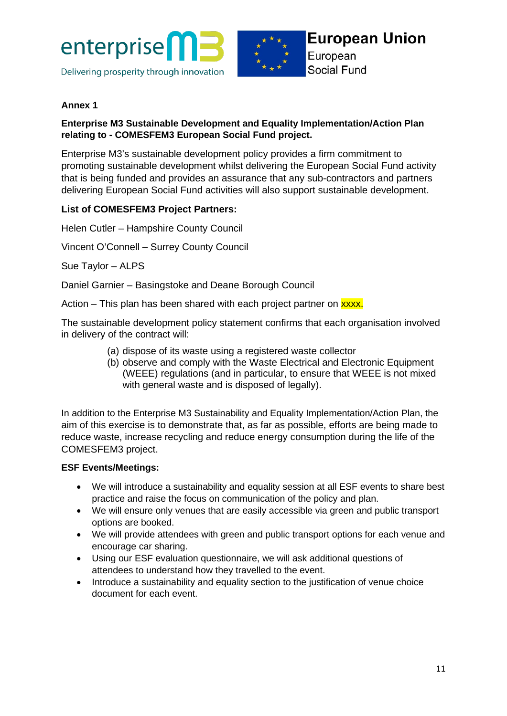



## **Annex 1**

## **Enterprise M3 Sustainable Development and Equality Implementation/Action Plan relating to - COMESFEM3 European Social Fund project.**

Enterprise M3's sustainable development policy provides a firm commitment to promoting sustainable development whilst delivering the European Social Fund activity that is being funded and provides an assurance that any sub-contractors and partners delivering European Social Fund activities will also support sustainable development.

## **List of COMESFEM3 Project Partners:**

Helen Cutler – Hampshire County Council

Vincent O'Connell – Surrey County Council

Sue Taylor – ALPS

Daniel Garnier – Basingstoke and Deane Borough Council

Action – This plan has been shared with each project partner on **xxxx**.

The sustainable development policy statement confirms that each organisation involved in delivery of the contract will:

- (a) dispose of its waste using a registered waste collector
- (b) observe and comply with the Waste Electrical and Electronic Equipment (WEEE) regulations (and in particular, to ensure that WEEE is not mixed with general waste and is disposed of legally).

In addition to the Enterprise M3 Sustainability and Equality Implementation/Action Plan, the aim of this exercise is to demonstrate that, as far as possible, efforts are being made to reduce waste, increase recycling and reduce energy consumption during the life of the COMESFEM3 project.

#### **ESF Events/Meetings:**

- We will introduce a sustainability and equality session at all ESF events to share best practice and raise the focus on communication of the policy and plan.
- We will ensure only venues that are easily accessible via green and public transport options are booked.
- We will provide attendees with green and public transport options for each venue and encourage car sharing.
- Using our ESF evaluation questionnaire, we will ask additional questions of attendees to understand how they travelled to the event.
- Introduce a sustainability and equality section to the justification of venue choice document for each event.